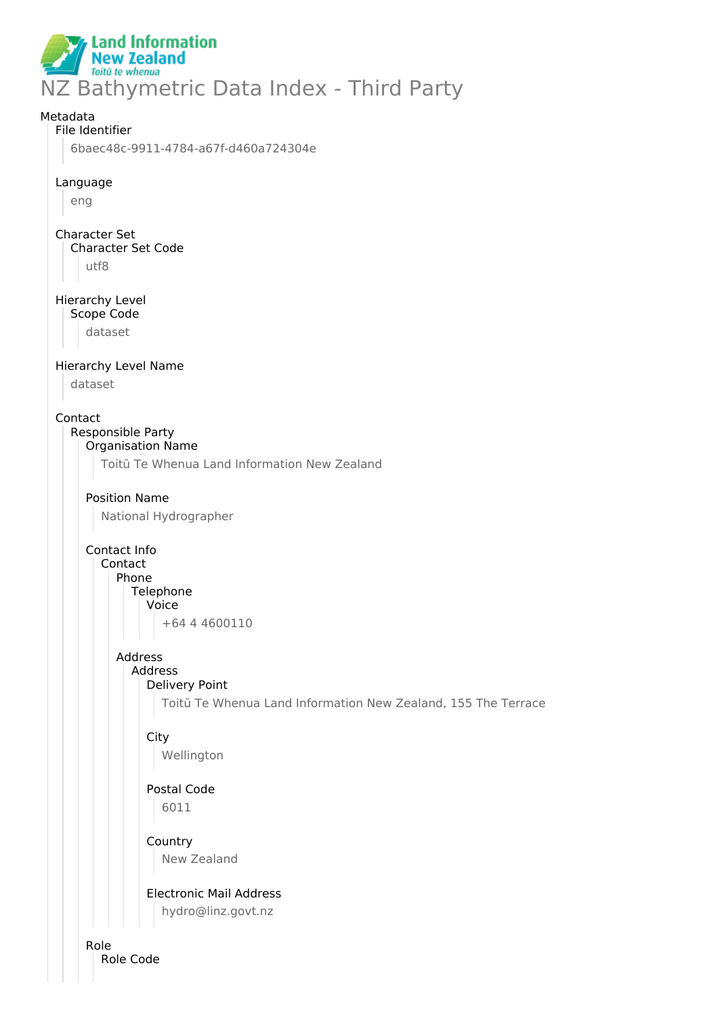

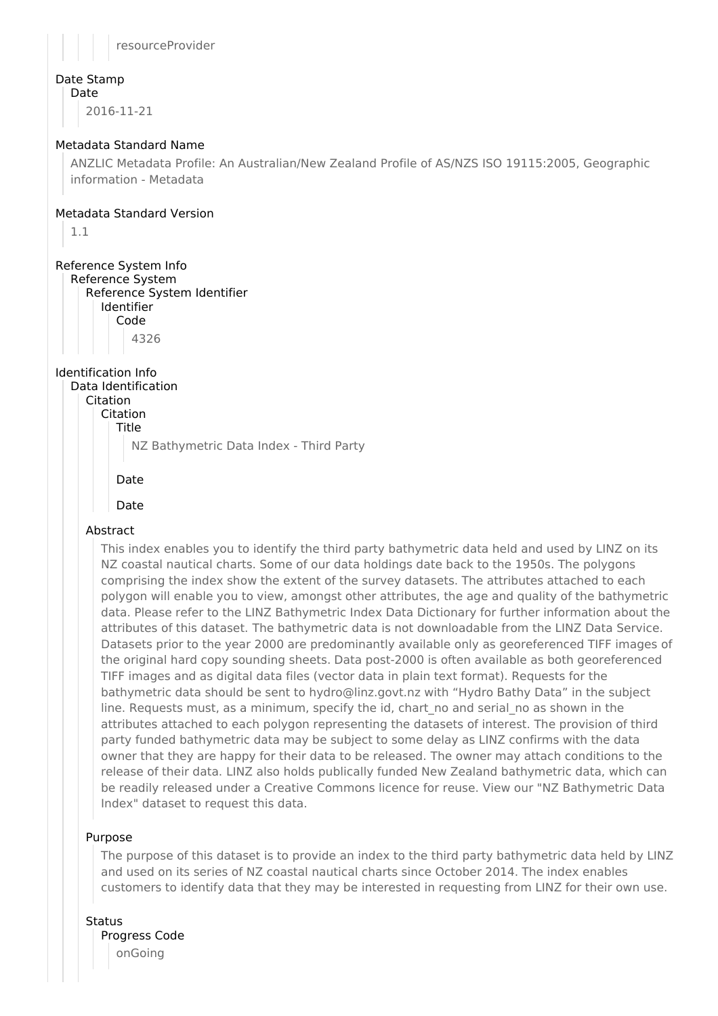resourceProvider

# Date Stamp

Date

2016-11-21

## Metadata Standard Name

ANZLIC Metadata Profile: An Australian/New Zealand Profile of AS/NZS ISO 19115:2005, Geographic information - Metadata

#### Metadata Standard Version

1.1

## Reference System Info

Reference System Reference System Identifier Identifier Code 4326

## Identification Info

Data Identification Citation Citation Title

NZ Bathymetric Data Index - Third Party

```
Date
```
Date

## Abstract

This index enables you to identify the third party bathymetric data held and used by LINZ on its NZ coastal nautical charts. Some of our data holdings date back to the 1950s. The polygons comprising the index show the extent of the survey datasets. The attributes attached to each polygon will enable you to view, amongst other attributes, the age and quality of the bathymetric data. Please refer to the LINZ Bathymetric Index Data Dictionary for further information about the attributes of this dataset. The bathymetric data is not downloadable from the LINZ Data Service. Datasets prior to the year 2000 are predominantly available only as georeferenced TIFF images of the original hard copy sounding sheets. Data post-2000 is often available as both georeferenced TIFF images and as digital data files (vector data in plain text format). Requests for the bathymetric data should be sent to hydro@linz.govt.nz with "Hydro Bathy Data" in the subject line. Requests must, as a minimum, specify the id, chart no and serial no as shown in the attributes attached to each polygon representing the datasets of interest. The provision of third party funded bathymetric data may be subject to some delay as LINZ confirms with the data owner that they are happy for their data to be released. The owner may attach conditions to the release of their data. LINZ also holds publically funded New Zealand bathymetric data, which can be readily released under a Creative Commons licence for reuse. View our "NZ Bathymetric Data Index" dataset to request this data.

#### Purpose

The purpose of this dataset is to provide an index to the third party bathymetric data held by LINZ and used on its series of NZ coastal nautical charts since October 2014. The index enables customers to identify data that they may be interested in requesting from LINZ for their own use.

Status

Progress Code onGoing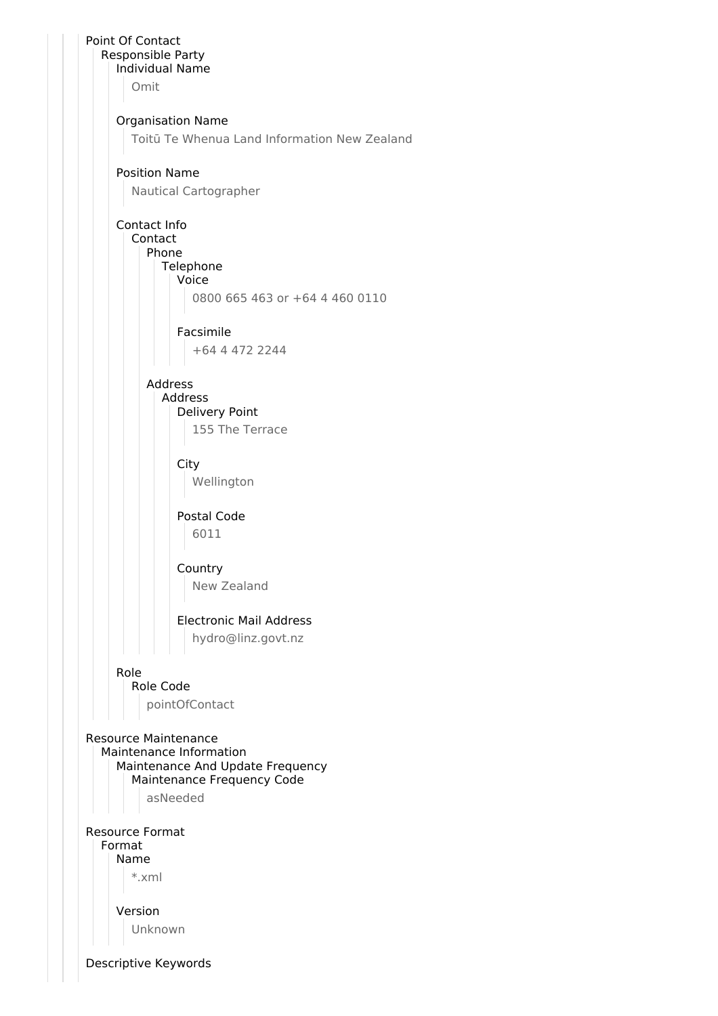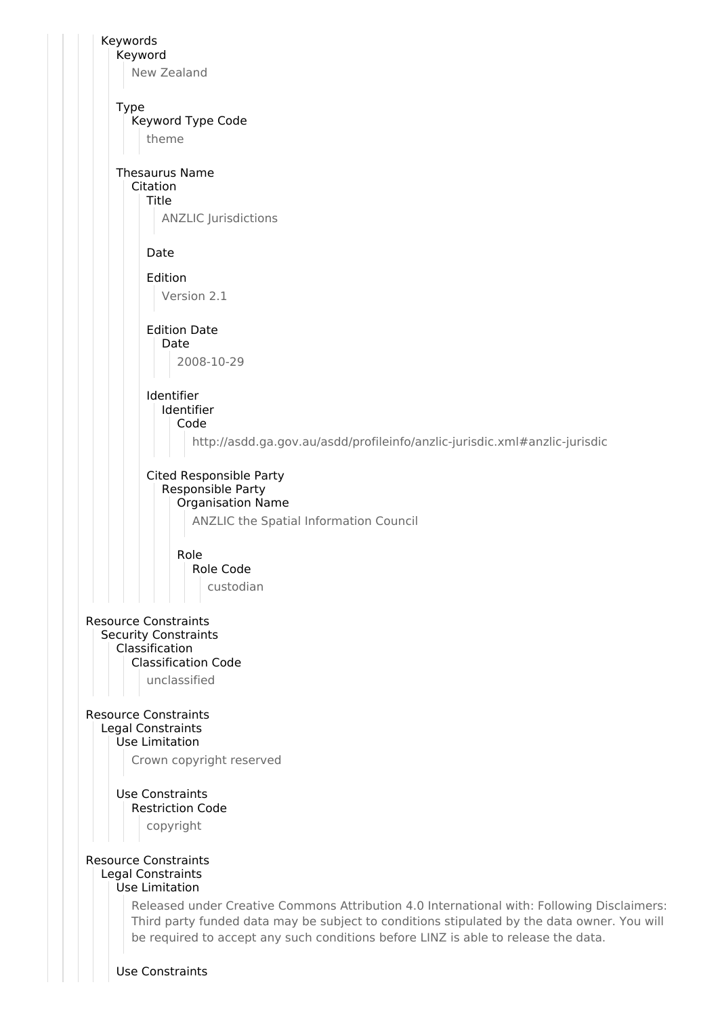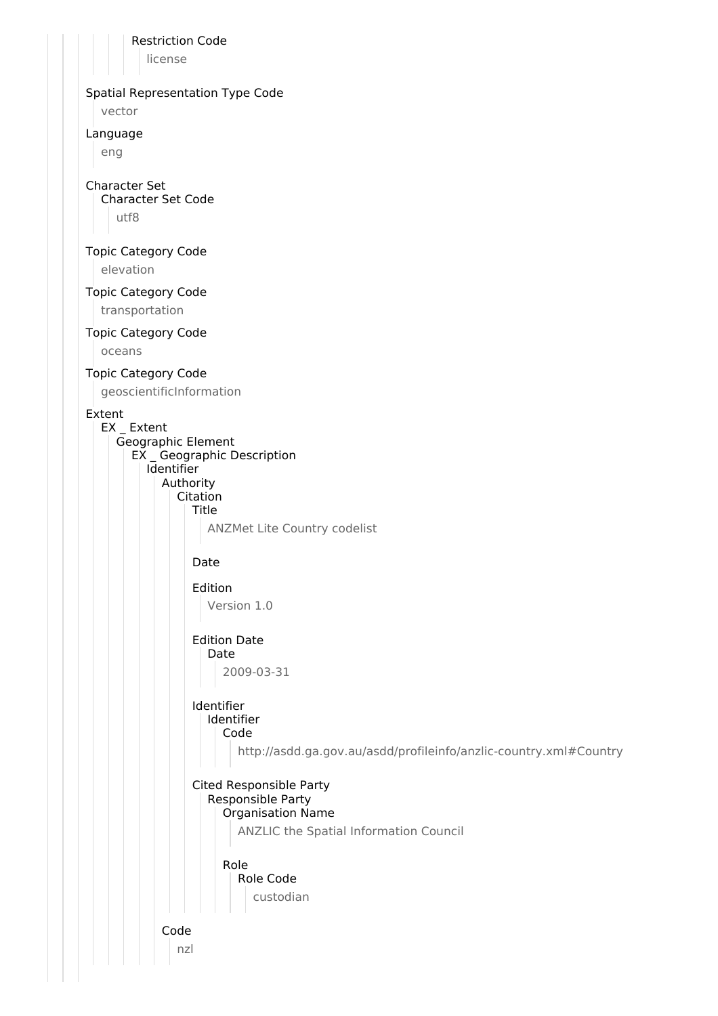Restriction Code

license

#### Spatial Representation Type Code

vector

#### Language

eng

#### Character Set

Character Set Code

utf8

#### Topic Category Code

elevation

#### Topic Category Code

transportation

## Topic Category Code

oceans

#### Topic Category Code

geoscientificInformation

#### Extent

EX \_ Extent Geographic Element EX \_ Geographic Description **I**dentifier Authority Citation Title ANZMet Lite Country codelist

## Date

Edition Version 1.0

#### Edition Date Date

2009-03-31

# Identifier

#### Identifier Code

http://asdd.ga.gov.au/asdd/profileinfo/anzlic-country.xml#Country

# Cited Responsible Party

# Responsible Party

Organisation Name ANZLIC the Spatial Information Council

## Role Role Code custodian

Code nzl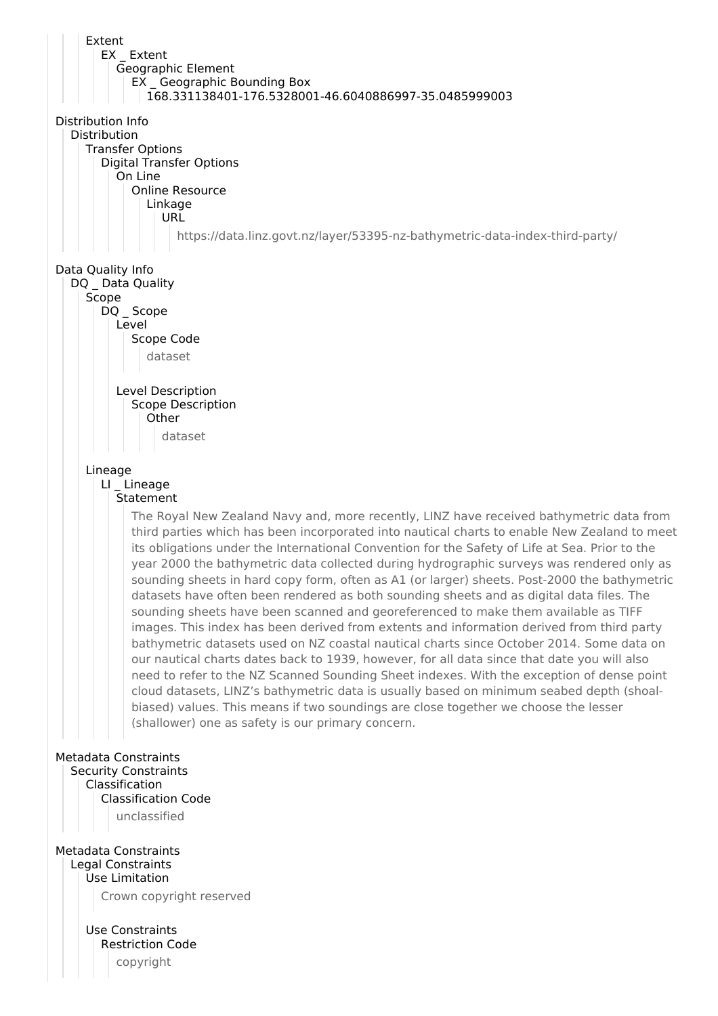